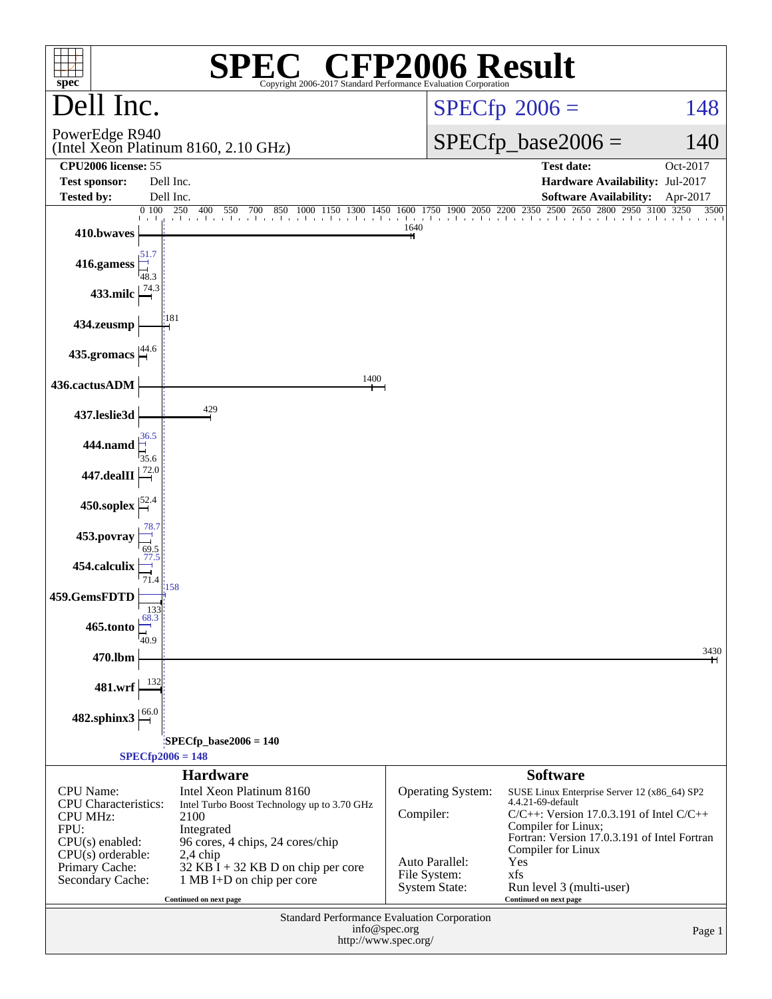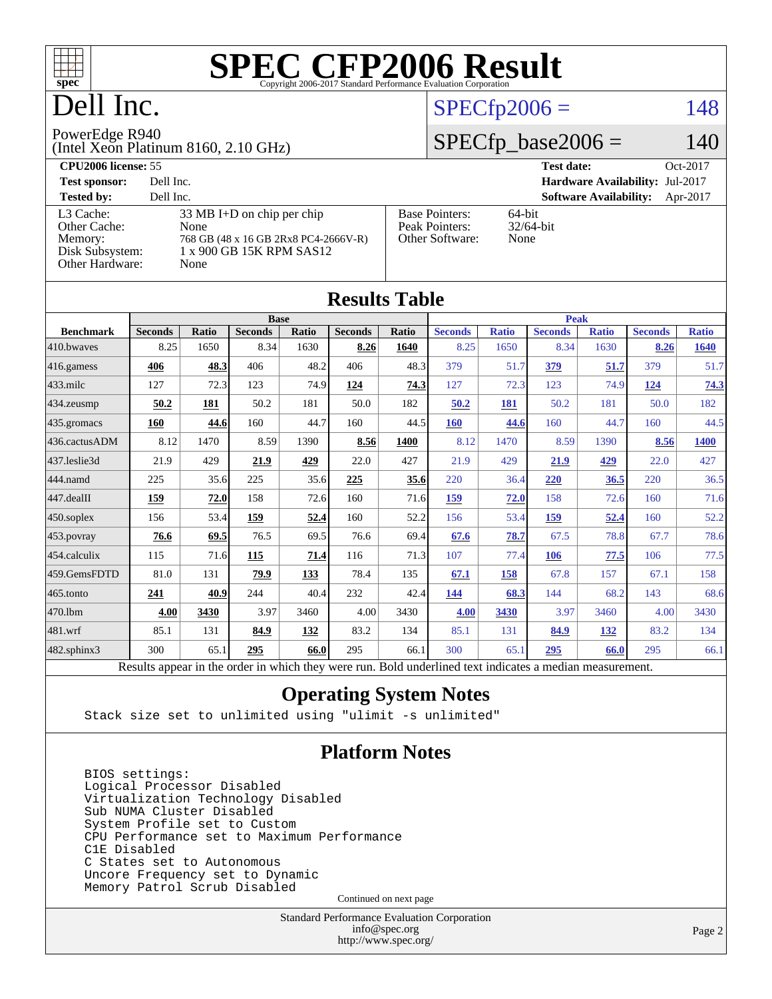

## Dell Inc.

## $SPECfp2006 = 148$  $SPECfp2006 = 148$

#### PowerEdge R940

(Intel Xeon Platinum 8160, 2.10 GHz)

 $SPECfp\_base2006 = 140$ 

| <b>CPU2006 license: 55</b>                    |                                                                          |                                         | Oct-2017<br><b>Test date:</b>             |
|-----------------------------------------------|--------------------------------------------------------------------------|-----------------------------------------|-------------------------------------------|
| <b>Test sponsor:</b>                          | Dell Inc.                                                                |                                         | <b>Hardware Availability: Jul-2017</b>    |
| <b>Tested by:</b>                             | Dell Inc.                                                                |                                         | <b>Software Availability:</b><br>Apr-2017 |
| L3 Cache:<br>Other Cache:                     | 33 MB I+D on chip per chip<br>None                                       | <b>Base Pointers:</b><br>Peak Pointers: | 64-bit<br>$32/64$ -bit                    |
| Memory:<br>Disk Subsystem:<br>Other Hardware: | 768 GB (48 x 16 GB 2Rx8 PC4-2666V-R)<br>1 x 900 GB 15K RPM SAS12<br>None | Other Software:                         | None                                      |

**[Results Table](http://www.spec.org/auto/cpu2006/Docs/result-fields.html#ResultsTable)**

|                  |                                                                                                          |              |                |       | Results Tadie  |              |                |              |                |              |                |              |
|------------------|----------------------------------------------------------------------------------------------------------|--------------|----------------|-------|----------------|--------------|----------------|--------------|----------------|--------------|----------------|--------------|
|                  |                                                                                                          |              | <b>Base</b>    |       |                |              | <b>Peak</b>    |              |                |              |                |              |
| <b>Benchmark</b> | <b>Seconds</b>                                                                                           | <b>Ratio</b> | <b>Seconds</b> | Ratio | <b>Seconds</b> | <b>Ratio</b> | <b>Seconds</b> | <b>Ratio</b> | <b>Seconds</b> | <b>Ratio</b> | <b>Seconds</b> | <b>Ratio</b> |
| 410.bwaves       | 8.25                                                                                                     | 1650         | 8.34           | 1630  | 8.26           | 1640         | 8.25           | 1650         | 8.34           | 1630         | 8.26           | 1640         |
| 416.gamess       | 406                                                                                                      | 48.3         | 406            | 48.2  | 406            | 48.3         | 379            | 51.7         | 379            | 51.7         | 379            | 51.7         |
| 433.milc         | 127                                                                                                      | 72.3         | 123            | 74.9  | 124            | 74.3         | 127            | 72.3         | 123            | 74.9         | 124            | 74.3         |
| 434.zeusmp       | 50.2                                                                                                     | 181          | 50.2           | 181   | 50.0           | 182          | 50.2           | 181          | 50.2           | 181          | 50.0           | 182          |
| 435.gromacs      | 160                                                                                                      | 44.6         | 160            | 44.7  | 160            | 44.5         | <b>160</b>     | 44.6         | 160            | 44.7         | 160            | 44.5         |
| 436.cactusADM    | 8.12                                                                                                     | 1470         | 8.59           | 1390  | 8.56           | 1400         | 8.12           | 1470         | 8.59           | 1390         | 8.56           | 1400         |
| 437.leslie3d     | 21.9                                                                                                     | 429          | 21.9           | 429   | 22.0           | 427          | 21.9           | 429          | 21.9           | 429          | 22.0           | 427          |
| 444.namd         | 225                                                                                                      | 35.6         | 225            | 35.6  | 225            | 35.6         | 220            | 36.4         | 220            | 36.5         | 220            | 36.5         |
| 447.dealII       | 159                                                                                                      | 72.0         | 158            | 72.6  | 160            | 71.6         | 159            | 72.0         | 158            | 72.6         | 160            | 71.6         |
| 450.soplex       | 156                                                                                                      | 53.4         | 159            | 52.4  | 160            | 52.2         | 156            | 53.4         | 159            | 52.4         | 160            | 52.2         |
| 453.povray       | 76.6                                                                                                     | 69.5         | 76.5           | 69.5  | 76.6           | 69.4         | 67.6           | 78.7         | 67.5           | 78.8         | 67.7           | 78.6         |
| 454.calculix     | 115                                                                                                      | 71.6         | 115            | 71.4  | 116            | 71.3         | 107            | 77.4         | 106            | 77.5         | 106            | 77.5         |
| 459.GemsFDTD     | 81.0                                                                                                     | 131          | 79.9           | 133   | 78.4           | 135          | 67.1           | 158          | 67.8           | 157          | 67.1           | 158          |
| 465.tonto        | 241                                                                                                      | 40.9         | 244            | 40.4  | 232            | 42.4         | 144            | 68.3         | 144            | 68.2         | 143            | 68.6         |
| 470.1bm          | 4.00                                                                                                     | 3430         | 3.97           | 3460  | 4.00           | 3430         | 4.00           | 3430         | 3.97           | 3460         | 4.00           | 3430         |
| 481.wrf          | 85.1                                                                                                     | 131          | 84.9           | 132   | 83.2           | 134          | 85.1           | 131          | 84.9           | 132          | 83.2           | 134          |
| 482.sphinx3      | 300                                                                                                      | 65.1         | 295            | 66.0  | 295            | 66.1         | 300            | 65.1         | 295            | 66.0         | 295            | 66.1         |
|                  | Results appear in the order in which they were run. Bold underlined text indicates a median measurement. |              |                |       |                |              |                |              |                |              |                |              |

### **[Operating System Notes](http://www.spec.org/auto/cpu2006/Docs/result-fields.html#OperatingSystemNotes)**

Stack size set to unlimited using "ulimit -s unlimited"

### **[Platform Notes](http://www.spec.org/auto/cpu2006/Docs/result-fields.html#PlatformNotes)**

 BIOS settings: Logical Processor Disabled Virtualization Technology Disabled Sub NUMA Cluster Disabled System Profile set to Custom CPU Performance set to Maximum Performance C1E Disabled C States set to Autonomous Uncore Frequency set to Dynamic Memory Patrol Scrub Disabled

Continued on next page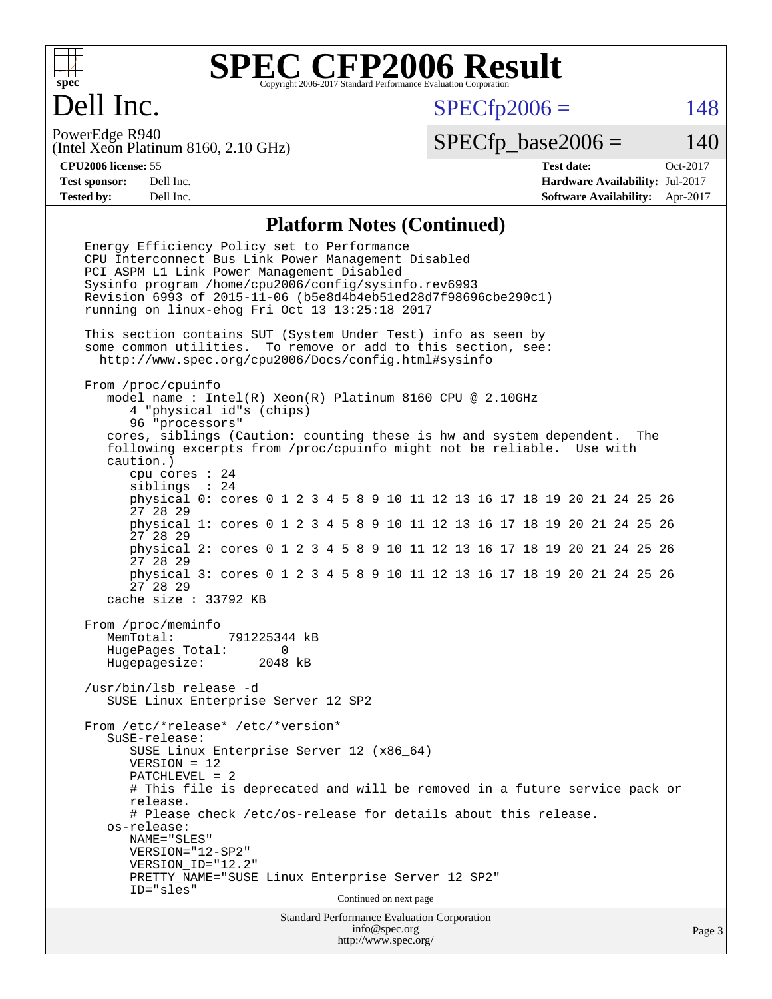

## Dell Inc.

 $SPECTp2006 = 148$ 

(Intel Xeon Platinum 8160, 2.10 GHz) PowerEdge R940

 $SPECTp\_base2006 = 140$ 

**[CPU2006 license:](http://www.spec.org/auto/cpu2006/Docs/result-fields.html#CPU2006license)** 55 **[Test date:](http://www.spec.org/auto/cpu2006/Docs/result-fields.html#Testdate)** Oct-2017 **[Test sponsor:](http://www.spec.org/auto/cpu2006/Docs/result-fields.html#Testsponsor)** Dell Inc. **[Hardware Availability:](http://www.spec.org/auto/cpu2006/Docs/result-fields.html#HardwareAvailability)** Jul-2017 **[Tested by:](http://www.spec.org/auto/cpu2006/Docs/result-fields.html#Testedby)** Dell Inc. **[Software Availability:](http://www.spec.org/auto/cpu2006/Docs/result-fields.html#SoftwareAvailability)** Apr-2017

### **[Platform Notes \(Continued\)](http://www.spec.org/auto/cpu2006/Docs/result-fields.html#PlatformNotes)**

Standard Performance Evaluation Corporation Energy Efficiency Policy set to Performance CPU Interconnect Bus Link Power Management Disabled PCI ASPM L1 Link Power Management Disabled Sysinfo program /home/cpu2006/config/sysinfo.rev6993 Revision 6993 of 2015-11-06 (b5e8d4b4eb51ed28d7f98696cbe290c1) running on linux-ehog Fri Oct 13 13:25:18 2017 This section contains SUT (System Under Test) info as seen by some common utilities. To remove or add to this section, see: <http://www.spec.org/cpu2006/Docs/config.html#sysinfo> From /proc/cpuinfo model name : Intel(R) Xeon(R) Platinum 8160 CPU @ 2.10GHz 4 "physical id"s (chips) 96 "processors" cores, siblings (Caution: counting these is hw and system dependent. The following excerpts from /proc/cpuinfo might not be reliable. Use with caution.) cpu cores : 24 siblings : 24 physical 0: cores 0 1 2 3 4 5 8 9 10 11 12 13 16 17 18 19 20 21 24 25 26 27 28 29 physical 1: cores 0 1 2 3 4 5 8 9 10 11 12 13 16 17 18 19 20 21 24 25 26 27 28 29 physical 2: cores 0 1 2 3 4 5 8 9 10 11 12 13 16 17 18 19 20 21 24 25 26 27 28 29 physical 3: cores 0 1 2 3 4 5 8 9 10 11 12 13 16 17 18 19 20 21 24 25 26 27 28 29 cache size : 33792 KB From /proc/meminfo MemTotal: 791225344 kB HugePages\_Total: 0 Hugepagesize: 2048 kB /usr/bin/lsb\_release -d SUSE Linux Enterprise Server 12 SP2 From /etc/\*release\* /etc/\*version\* SuSE-release: SUSE Linux Enterprise Server 12 (x86\_64) VERSION = 12 PATCHLEVEL = 2 # This file is deprecated and will be removed in a future service pack or release. # Please check /etc/os-release for details about this release. os-release: NAME="SLES" VERSION="12-SP2" VERSION\_ID="12.2" PRETTY\_NAME="SUSE Linux Enterprise Server 12 SP2" ID="sles" Continued on next page

[info@spec.org](mailto:info@spec.org) <http://www.spec.org/>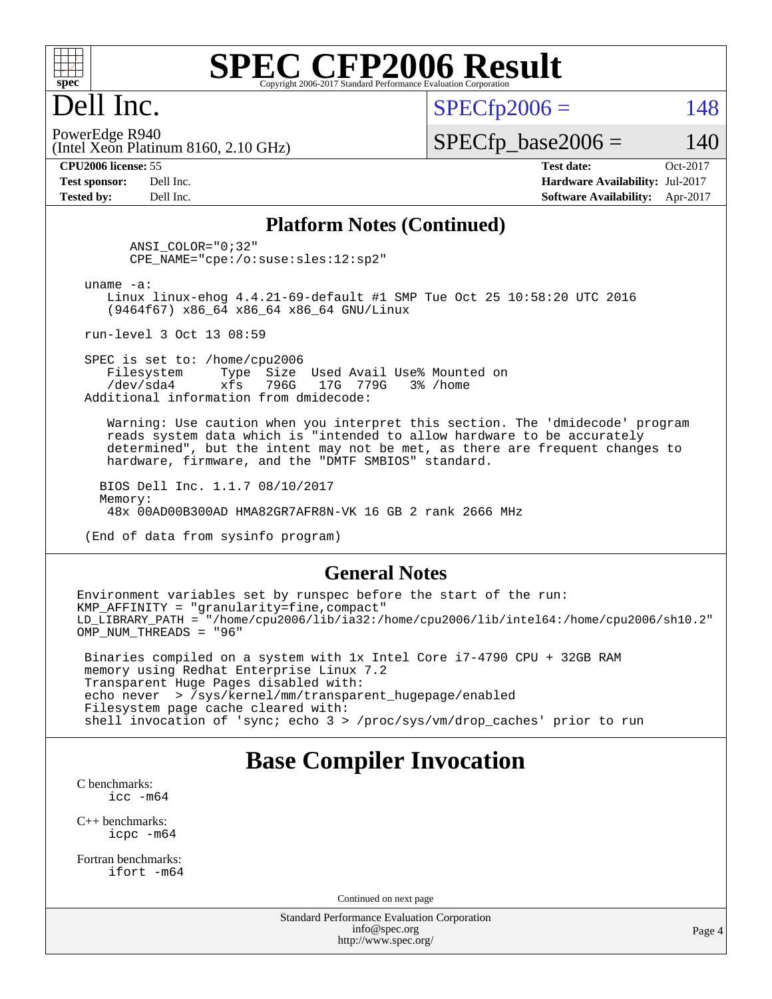

## Dell Inc.

 $SPECTp2006 = 148$ 

(Intel Xeon Platinum 8160, 2.10 GHz) PowerEdge R940

 $SPECTp\_base2006 = 140$ 

**[CPU2006 license:](http://www.spec.org/auto/cpu2006/Docs/result-fields.html#CPU2006license)** 55 **[Test date:](http://www.spec.org/auto/cpu2006/Docs/result-fields.html#Testdate)** Oct-2017 **[Test sponsor:](http://www.spec.org/auto/cpu2006/Docs/result-fields.html#Testsponsor)** Dell Inc. **[Hardware Availability:](http://www.spec.org/auto/cpu2006/Docs/result-fields.html#HardwareAvailability)** Jul-2017 **[Tested by:](http://www.spec.org/auto/cpu2006/Docs/result-fields.html#Testedby)** Dell Inc. **[Software Availability:](http://www.spec.org/auto/cpu2006/Docs/result-fields.html#SoftwareAvailability)** Apr-2017

### **[Platform Notes \(Continued\)](http://www.spec.org/auto/cpu2006/Docs/result-fields.html#PlatformNotes)**

 ANSI\_COLOR="0;32" CPE\_NAME="cpe:/o:suse:sles:12:sp2"

uname -a:

 Linux linux-ehog 4.4.21-69-default #1 SMP Tue Oct 25 10:58:20 UTC 2016 (9464f67) x86\_64 x86\_64 x86\_64 GNU/Linux

run-level 3 Oct 13 08:59

SPEC is set to: /home/cpu2006<br>Filesystem Type Size Type Size Used Avail Use% Mounted on /dev/sda4 xfs 796G 17G 779G 3% /home Additional information from dmidecode:

 Warning: Use caution when you interpret this section. The 'dmidecode' program reads system data which is "intended to allow hardware to be accurately determined", but the intent may not be met, as there are frequent changes to hardware, firmware, and the "DMTF SMBIOS" standard.

 BIOS Dell Inc. 1.1.7 08/10/2017 Memory: 48x 00AD00B300AD HMA82GR7AFR8N-VK 16 GB 2 rank 2666 MHz

(End of data from sysinfo program)

#### **[General Notes](http://www.spec.org/auto/cpu2006/Docs/result-fields.html#GeneralNotes)**

Environment variables set by runspec before the start of the run: KMP AFFINITY = "granularity=fine, compact" LD\_LIBRARY\_PATH = "/home/cpu2006/lib/ia32:/home/cpu2006/lib/intel64:/home/cpu2006/sh10.2" OMP NUM THREADS = "96"

 Binaries compiled on a system with 1x Intel Core i7-4790 CPU + 32GB RAM memory using Redhat Enterprise Linux 7.2 Transparent Huge Pages disabled with: echo never > /sys/kernel/mm/transparent\_hugepage/enabled Filesystem page cache cleared with: shell invocation of 'sync; echo 3 > /proc/sys/vm/drop\_caches' prior to run

## **[Base Compiler Invocation](http://www.spec.org/auto/cpu2006/Docs/result-fields.html#BaseCompilerInvocation)**

[C benchmarks](http://www.spec.org/auto/cpu2006/Docs/result-fields.html#Cbenchmarks): [icc -m64](http://www.spec.org/cpu2006/results/res2017q4/cpu2006-20171030-50377.flags.html#user_CCbase_intel_icc_64bit_bda6cc9af1fdbb0edc3795bac97ada53)

[C++ benchmarks:](http://www.spec.org/auto/cpu2006/Docs/result-fields.html#CXXbenchmarks) [icpc -m64](http://www.spec.org/cpu2006/results/res2017q4/cpu2006-20171030-50377.flags.html#user_CXXbase_intel_icpc_64bit_fc66a5337ce925472a5c54ad6a0de310)

[Fortran benchmarks](http://www.spec.org/auto/cpu2006/Docs/result-fields.html#Fortranbenchmarks): [ifort -m64](http://www.spec.org/cpu2006/results/res2017q4/cpu2006-20171030-50377.flags.html#user_FCbase_intel_ifort_64bit_ee9d0fb25645d0210d97eb0527dcc06e)

Continued on next page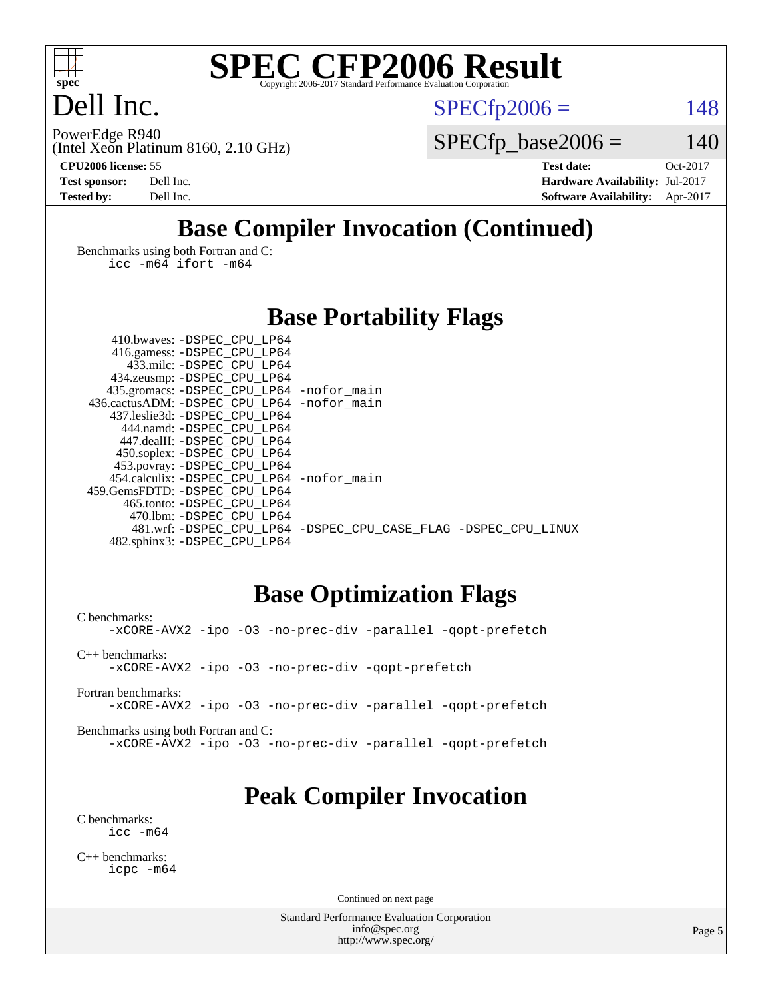

## Dell Inc.

 $SPECTp2006 = 148$ 

(Intel Xeon Platinum 8160, 2.10 GHz) PowerEdge R940

 $SPECfp\_base2006 = 140$ 

**[CPU2006 license:](http://www.spec.org/auto/cpu2006/Docs/result-fields.html#CPU2006license)** 55 **[Test date:](http://www.spec.org/auto/cpu2006/Docs/result-fields.html#Testdate)** Oct-2017 **[Test sponsor:](http://www.spec.org/auto/cpu2006/Docs/result-fields.html#Testsponsor)** Dell Inc. **[Hardware Availability:](http://www.spec.org/auto/cpu2006/Docs/result-fields.html#HardwareAvailability)** Jul-2017 **[Tested by:](http://www.spec.org/auto/cpu2006/Docs/result-fields.html#Testedby)** Dell Inc. **[Software Availability:](http://www.spec.org/auto/cpu2006/Docs/result-fields.html#SoftwareAvailability)** Apr-2017

## **[Base Compiler Invocation \(Continued\)](http://www.spec.org/auto/cpu2006/Docs/result-fields.html#BaseCompilerInvocation)**

[Benchmarks using both Fortran and C](http://www.spec.org/auto/cpu2006/Docs/result-fields.html#BenchmarksusingbothFortranandC): [icc -m64](http://www.spec.org/cpu2006/results/res2017q4/cpu2006-20171030-50377.flags.html#user_CC_FCbase_intel_icc_64bit_bda6cc9af1fdbb0edc3795bac97ada53) [ifort -m64](http://www.spec.org/cpu2006/results/res2017q4/cpu2006-20171030-50377.flags.html#user_CC_FCbase_intel_ifort_64bit_ee9d0fb25645d0210d97eb0527dcc06e)

## **[Base Portability Flags](http://www.spec.org/auto/cpu2006/Docs/result-fields.html#BasePortabilityFlags)**

| 435.gromacs: -DSPEC_CPU_LP64 -nofor_main                       |
|----------------------------------------------------------------|
| 436.cactusADM: - DSPEC CPU LP64 - nofor main                   |
|                                                                |
|                                                                |
|                                                                |
|                                                                |
|                                                                |
| 454.calculix: - DSPEC CPU LP64 - nofor main                    |
|                                                                |
|                                                                |
|                                                                |
| 481.wrf: -DSPEC CPU_LP64 -DSPEC_CPU_CASE_FLAG -DSPEC_CPU_LINUX |
|                                                                |
|                                                                |

## **[Base Optimization Flags](http://www.spec.org/auto/cpu2006/Docs/result-fields.html#BaseOptimizationFlags)**

[C benchmarks](http://www.spec.org/auto/cpu2006/Docs/result-fields.html#Cbenchmarks): [-xCORE-AVX2](http://www.spec.org/cpu2006/results/res2017q4/cpu2006-20171030-50377.flags.html#user_CCbase_f-xCORE-AVX2) [-ipo](http://www.spec.org/cpu2006/results/res2017q4/cpu2006-20171030-50377.flags.html#user_CCbase_f-ipo) [-O3](http://www.spec.org/cpu2006/results/res2017q4/cpu2006-20171030-50377.flags.html#user_CCbase_f-O3) [-no-prec-div](http://www.spec.org/cpu2006/results/res2017q4/cpu2006-20171030-50377.flags.html#user_CCbase_f-no-prec-div) [-parallel](http://www.spec.org/cpu2006/results/res2017q4/cpu2006-20171030-50377.flags.html#user_CCbase_f-parallel) [-qopt-prefetch](http://www.spec.org/cpu2006/results/res2017q4/cpu2006-20171030-50377.flags.html#user_CCbase_f-qopt-prefetch) [C++ benchmarks:](http://www.spec.org/auto/cpu2006/Docs/result-fields.html#CXXbenchmarks) [-xCORE-AVX2](http://www.spec.org/cpu2006/results/res2017q4/cpu2006-20171030-50377.flags.html#user_CXXbase_f-xCORE-AVX2) [-ipo](http://www.spec.org/cpu2006/results/res2017q4/cpu2006-20171030-50377.flags.html#user_CXXbase_f-ipo) [-O3](http://www.spec.org/cpu2006/results/res2017q4/cpu2006-20171030-50377.flags.html#user_CXXbase_f-O3) [-no-prec-div](http://www.spec.org/cpu2006/results/res2017q4/cpu2006-20171030-50377.flags.html#user_CXXbase_f-no-prec-div) [-qopt-prefetch](http://www.spec.org/cpu2006/results/res2017q4/cpu2006-20171030-50377.flags.html#user_CXXbase_f-qopt-prefetch)

[Fortran benchmarks](http://www.spec.org/auto/cpu2006/Docs/result-fields.html#Fortranbenchmarks): [-xCORE-AVX2](http://www.spec.org/cpu2006/results/res2017q4/cpu2006-20171030-50377.flags.html#user_FCbase_f-xCORE-AVX2) [-ipo](http://www.spec.org/cpu2006/results/res2017q4/cpu2006-20171030-50377.flags.html#user_FCbase_f-ipo) [-O3](http://www.spec.org/cpu2006/results/res2017q4/cpu2006-20171030-50377.flags.html#user_FCbase_f-O3) [-no-prec-div](http://www.spec.org/cpu2006/results/res2017q4/cpu2006-20171030-50377.flags.html#user_FCbase_f-no-prec-div) [-parallel](http://www.spec.org/cpu2006/results/res2017q4/cpu2006-20171030-50377.flags.html#user_FCbase_f-parallel) [-qopt-prefetch](http://www.spec.org/cpu2006/results/res2017q4/cpu2006-20171030-50377.flags.html#user_FCbase_f-qopt-prefetch)

[Benchmarks using both Fortran and C](http://www.spec.org/auto/cpu2006/Docs/result-fields.html#BenchmarksusingbothFortranandC): [-xCORE-AVX2](http://www.spec.org/cpu2006/results/res2017q4/cpu2006-20171030-50377.flags.html#user_CC_FCbase_f-xCORE-AVX2) [-ipo](http://www.spec.org/cpu2006/results/res2017q4/cpu2006-20171030-50377.flags.html#user_CC_FCbase_f-ipo) [-O3](http://www.spec.org/cpu2006/results/res2017q4/cpu2006-20171030-50377.flags.html#user_CC_FCbase_f-O3) [-no-prec-div](http://www.spec.org/cpu2006/results/res2017q4/cpu2006-20171030-50377.flags.html#user_CC_FCbase_f-no-prec-div) [-parallel](http://www.spec.org/cpu2006/results/res2017q4/cpu2006-20171030-50377.flags.html#user_CC_FCbase_f-parallel) [-qopt-prefetch](http://www.spec.org/cpu2006/results/res2017q4/cpu2006-20171030-50377.flags.html#user_CC_FCbase_f-qopt-prefetch)

## **[Peak Compiler Invocation](http://www.spec.org/auto/cpu2006/Docs/result-fields.html#PeakCompilerInvocation)**

[C benchmarks](http://www.spec.org/auto/cpu2006/Docs/result-fields.html#Cbenchmarks): [icc -m64](http://www.spec.org/cpu2006/results/res2017q4/cpu2006-20171030-50377.flags.html#user_CCpeak_intel_icc_64bit_bda6cc9af1fdbb0edc3795bac97ada53)

[C++ benchmarks:](http://www.spec.org/auto/cpu2006/Docs/result-fields.html#CXXbenchmarks) [icpc -m64](http://www.spec.org/cpu2006/results/res2017q4/cpu2006-20171030-50377.flags.html#user_CXXpeak_intel_icpc_64bit_fc66a5337ce925472a5c54ad6a0de310)

Continued on next page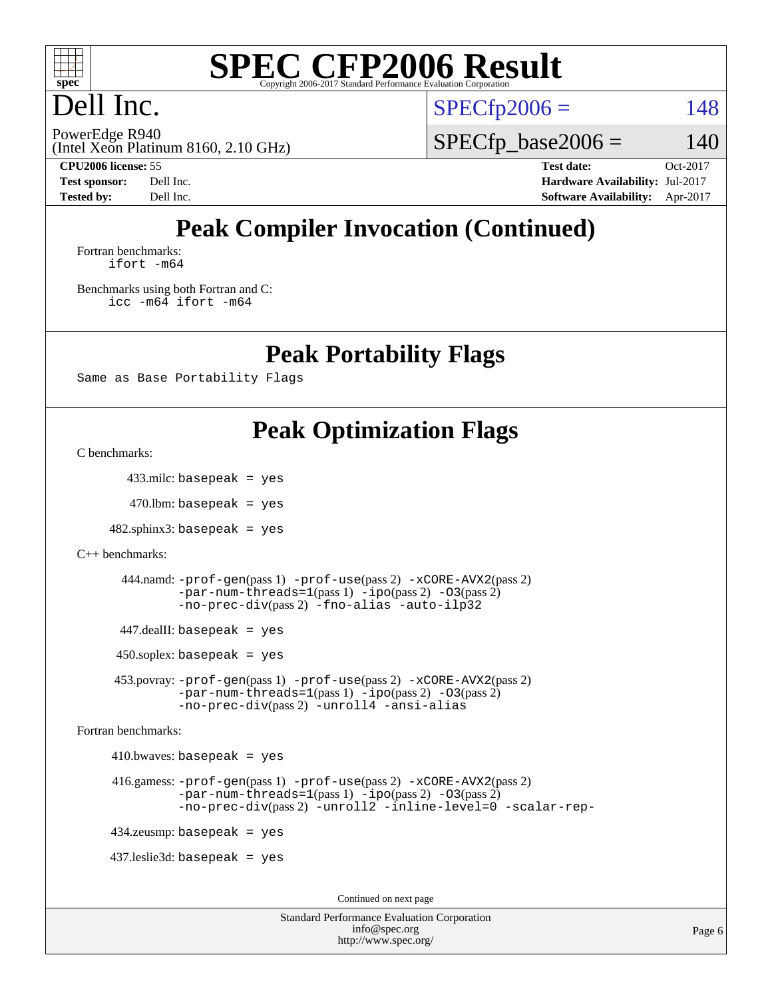

## Dell Inc.

 $SPECTp2006 = 148$ 

(Intel Xeon Platinum 8160, 2.10 GHz) PowerEdge R940

 $SPECfp\_base2006 = 140$ 

**[CPU2006 license:](http://www.spec.org/auto/cpu2006/Docs/result-fields.html#CPU2006license)** 55 **[Test date:](http://www.spec.org/auto/cpu2006/Docs/result-fields.html#Testdate)** Oct-2017 **[Test sponsor:](http://www.spec.org/auto/cpu2006/Docs/result-fields.html#Testsponsor)** Dell Inc. **[Hardware Availability:](http://www.spec.org/auto/cpu2006/Docs/result-fields.html#HardwareAvailability)** Jul-2017 **[Tested by:](http://www.spec.org/auto/cpu2006/Docs/result-fields.html#Testedby)** Dell Inc. **[Software Availability:](http://www.spec.org/auto/cpu2006/Docs/result-fields.html#SoftwareAvailability)** Apr-2017

## **[Peak Compiler Invocation \(Continued\)](http://www.spec.org/auto/cpu2006/Docs/result-fields.html#PeakCompilerInvocation)**

[Fortran benchmarks](http://www.spec.org/auto/cpu2006/Docs/result-fields.html#Fortranbenchmarks): [ifort -m64](http://www.spec.org/cpu2006/results/res2017q4/cpu2006-20171030-50377.flags.html#user_FCpeak_intel_ifort_64bit_ee9d0fb25645d0210d97eb0527dcc06e)

[Benchmarks using both Fortran and C](http://www.spec.org/auto/cpu2006/Docs/result-fields.html#BenchmarksusingbothFortranandC): [icc -m64](http://www.spec.org/cpu2006/results/res2017q4/cpu2006-20171030-50377.flags.html#user_CC_FCpeak_intel_icc_64bit_bda6cc9af1fdbb0edc3795bac97ada53) [ifort -m64](http://www.spec.org/cpu2006/results/res2017q4/cpu2006-20171030-50377.flags.html#user_CC_FCpeak_intel_ifort_64bit_ee9d0fb25645d0210d97eb0527dcc06e)

**[Peak Portability Flags](http://www.spec.org/auto/cpu2006/Docs/result-fields.html#PeakPortabilityFlags)**

Same as Base Portability Flags

## **[Peak Optimization Flags](http://www.spec.org/auto/cpu2006/Docs/result-fields.html#PeakOptimizationFlags)**

[C benchmarks](http://www.spec.org/auto/cpu2006/Docs/result-fields.html#Cbenchmarks):

433.milc: basepeak = yes

 $470$ .lbm: basepeak = yes

 $482$ .sphinx $3$ : basepeak = yes

```
C++ benchmarks:
```

```
 444.namd: -prof-gen(pass 1) -prof-use(pass 2) -xCORE-AVX2(pass 2)
-par-num-threads=1-ipo-O3(pass 2)-no-prec-div(pass 2) -fno-alias -auto-ilp32
```
447.dealII: basepeak = yes

 $450$ .soplex: basepeak = yes

 453.povray: [-prof-gen](http://www.spec.org/cpu2006/results/res2017q4/cpu2006-20171030-50377.flags.html#user_peakPASS1_CXXFLAGSPASS1_LDFLAGS453_povray_prof_gen_e43856698f6ca7b7e442dfd80e94a8fc)(pass 1) [-prof-use](http://www.spec.org/cpu2006/results/res2017q4/cpu2006-20171030-50377.flags.html#user_peakPASS2_CXXFLAGSPASS2_LDFLAGS453_povray_prof_use_bccf7792157ff70d64e32fe3e1250b55)(pass 2) [-xCORE-AVX2](http://www.spec.org/cpu2006/results/res2017q4/cpu2006-20171030-50377.flags.html#user_peakPASS2_CXXFLAGSPASS2_LDFLAGS453_povray_f-xCORE-AVX2)(pass 2)  $-par-num-threads=1(pass 1) -ipo(pass 2) -O3(pass 2)$  $-par-num-threads=1(pass 1) -ipo(pass 2) -O3(pass 2)$  $-par-num-threads=1(pass 1) -ipo(pass 2) -O3(pass 2)$  $-par-num-threads=1(pass 1) -ipo(pass 2) -O3(pass 2)$  $-par-num-threads=1(pass 1) -ipo(pass 2) -O3(pass 2)$  $-par-num-threads=1(pass 1) -ipo(pass 2) -O3(pass 2)$ [-no-prec-div](http://www.spec.org/cpu2006/results/res2017q4/cpu2006-20171030-50377.flags.html#user_peakPASS2_CXXFLAGSPASS2_LDFLAGS453_povray_f-no-prec-div)(pass 2) [-unroll4](http://www.spec.org/cpu2006/results/res2017q4/cpu2006-20171030-50377.flags.html#user_peakCXXOPTIMIZE453_povray_f-unroll_4e5e4ed65b7fd20bdcd365bec371b81f) [-ansi-alias](http://www.spec.org/cpu2006/results/res2017q4/cpu2006-20171030-50377.flags.html#user_peakCXXOPTIMIZE453_povray_f-ansi-alias)

[Fortran benchmarks](http://www.spec.org/auto/cpu2006/Docs/result-fields.html#Fortranbenchmarks):

 $410.bwaves: basepeak = yes$ 

```
 416.gamess: -prof-gen(pass 1) -prof-use(pass 2) -xCORE-AVX2(pass 2)
  -par-num-threads=1-ipo-O3(pass 2)-no-prec-div(pass 2) -unroll2 -inline-level=0 -scalar-rep-
```
434.zeusmp: basepeak = yes

437.leslie3d: basepeak = yes

Continued on next page